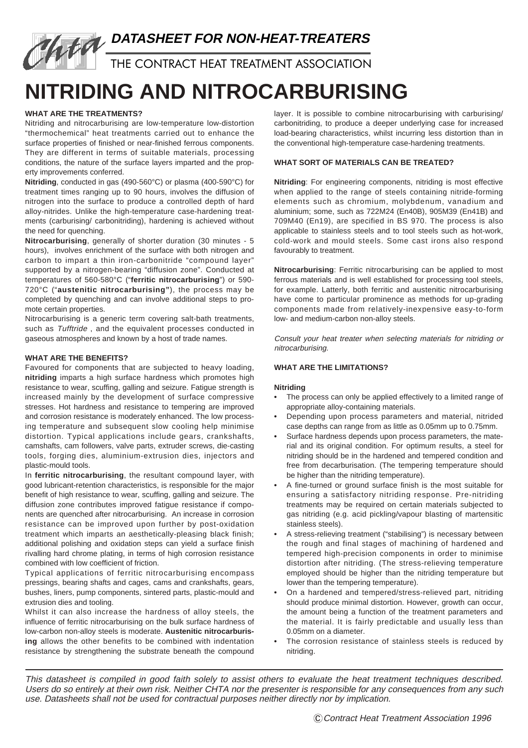# **DATASHEET FOR NON-HEAT-TREATERS**

THE CONTRACT HEAT TREATMENT ASSOCIATION

# **NITRIDING AND NITROCARBURISING**

# **WHAT ARE THE TREATMENTS?**

Nitriding and nitrocarburising are low-temperature low-distortion "thermochemical" heat treatments carried out to enhance the surface properties of finished or near-finished ferrous components. They are different in terms of suitable materials, processing conditions, the nature of the surface layers imparted and the property improvements conferred.

**Nitriding**, conducted in gas (490-560°C) or plasma (400-590°C) for treatment times ranging up to 90 hours, involves the diffusion of nitrogen into the surface to produce a controlled depth of hard alloy-nitrides. Unlike the high-temperature case-hardening treatments (carburising/ carbonitriding), hardening is achieved without the need for quenching.

**Nitrocarburising**, generally of shorter duration (30 minutes - 5 hours), involves enrichment of the surface with both nitrogen and carbon to impart a thin iron-carbonitride "compound layer" supported by a nitrogen-bearing "diffusion zone". Conducted at temperatures of 560-580°C ("**ferritic nitrocarburising**") or 590- 720°C ("**austenitic nitrocarburising"**), the process may be completed by quenching and can involve additional steps to promote certain properties.

Nitrocarburising is a generic term covering salt-bath treatments, such as Tufftride, and the equivalent processes conducted in gaseous atmospheres and known by a host of trade names.

#### **WHAT ARE THE BENEFITS?**

Favoured for components that are subjected to heavy loading, **nitriding** imparts a high surface hardness which promotes high resistance to wear, scuffing, galling and seizure. Fatigue strength is increased mainly by the development of surface compressive stresses. Hot hardness and resistance to tempering are improved and corrosion resistance is moderately enhanced. The low processing temperature and subsequent slow cooling help minimise distortion. Typical applications include gears, crankshafts, camshafts, cam followers, valve parts, extruder screws, die-casting tools, forging dies, aluminium-extrusion dies, injectors and plastic-mould tools.

In **ferritic nitrocarburising**, the resultant compound layer, with good lubricant-retention characteristics, is responsible for the major benefit of high resistance to wear, scuffing, galling and seizure. The diffusion zone contributes improved fatigue resistance if components are quenched after nitrocarburising. An increase in corrosion resistance can be improved upon further by post-oxidation treatment which imparts an aesthetically-pleasing black finish; additional polishing and oxidation steps can yield a surface finish rivalling hard chrome plating, in terms of high corrosion resistance combined with low coefficient of friction.

Typical applications of ferritic nitrocarburising encompass pressings, bearing shafts and cages, cams and crankshafts, gears, bushes, liners, pump components, sintered parts, plastic-mould and extrusion dies and tooling.

Whilst it can also increase the hardness of alloy steels, the influence of ferritic nitrocarburising on the bulk surface hardness of low-carbon non-alloy steels is moderate. **Austenitic nitrocarburising** allows the other benefits to be combined with indentation resistance by strengthening the substrate beneath the compound

layer. It is possible to combine nitrocarburising with carburising/ carbonitriding, to produce a deeper underlying case for increased load-bearing characteristics, whilst incurring less distortion than in the conventional high-temperature case-hardening treatments.

## **WHAT SORT OF MATERIALS CAN BE TREATED?**

**Nitriding**: For engineering components, nitriding is most effective when applied to the range of steels containing nitride-forming elements such as chromium, molybdenum, vanadium and aluminium; some, such as 722M24 (En40B), 905M39 (En41B) and 709M40 (En19), are specified in BS 970. The process is also applicable to stainless steels and to tool steels such as hot-work, cold-work and mould steels. Some cast irons also respond favourably to treatment.

**Nitrocarburising**: Ferritic nitrocarburising can be applied to most ferrous materials and is well established for processing tool steels, for example. Latterly, both ferritic and austenitic nitrocarburising have come to particular prominence as methods for up-grading components made from relatively-inexpensive easy-to-form low- and medium-carbon non-alloy steels.

Consult your heat treater when selecting materials for nitriding or nitrocarburising.

## **WHAT ARE THE LIMITATIONS?**

#### **Nitriding**

- **•** The process can only be applied effectively to a limited range of appropriate alloy-containing materials.
- **•** Depending upon process parameters and material, nitrided case depths can range from as little as 0.05mm up to 0.75mm.
- **•** Surface hardness depends upon process parameters, the material and its original condition. For optimum results, a steel for nitriding should be in the hardened and tempered condition and free from decarburisation. (The tempering temperature should be higher than the nitriding temperature).
- **•** A fine-turned or ground surface finish is the most suitable for ensuring a satisfactory nitriding response. Pre-nitriding treatments may be required on certain materials subjected to gas nitriding (e.g. acid pickling/vapour blasting of martensitic stainless steels).
- **•** A stress-relieving treatment ("stabilising") is necessary between the rough and final stages of machining of hardened and tempered high-precision components in order to minimise distortion after nitriding. (The stress-relieving temperature employed should be higher than the nitriding temperature but lower than the tempering temperature).
- **•** On a hardened and tempered/stress-relieved part, nitriding should produce minimal distortion. However, growth can occur, the amount being a function of the treatment parameters and the material. It is fairly predictable and usually less than 0.05mm on a diameter.
- **•** The corrosion resistance of stainless steels is reduced by nitriding.

This datasheet is compiled in good faith solely to assist others to evaluate the heat treatment techniques described. Users do so entirely at their own risk. Neither CHTA nor the presenter is responsible for any consequences from any such use. Datasheets shall not be used for contractual purposes neither directly nor by implication.